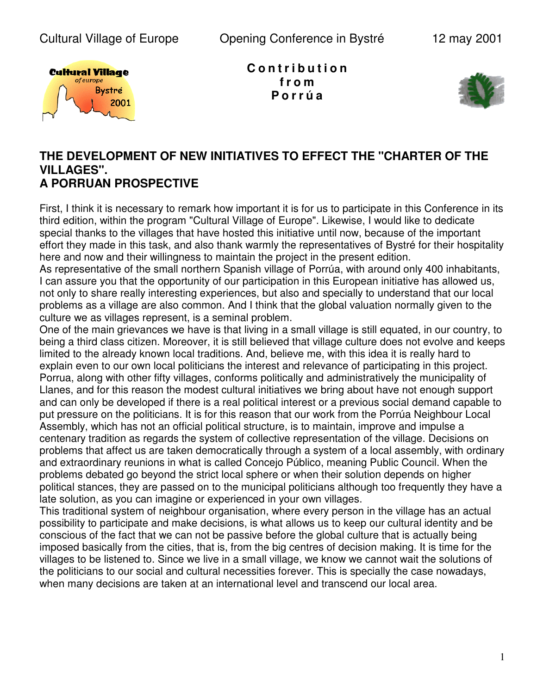

**C o n t r i b u t i o n f r o m P o r r ú a**



## **THE DEVELOPMENT OF NEW INITIATIVES TO EFFECT THE "CHARTER OF THE VILLAGES". A PORRUAN PROSPECTIVE**

First, I think it is necessary to remark how important it is for us to participate in this Conference in its third edition, within the program "Cultural Village of Europe". Likewise, I would like to dedicate special thanks to the villages that have hosted this initiative until now, because of the important effort they made in this task, and also thank warmly the representatives of Bystré for their hospitality here and now and their willingness to maintain the project in the present edition.

As representative of the small northern Spanish village of Porrúa, with around only 400 inhabitants, I can assure you that the opportunity of our participation in this European initiative has allowed us, not only to share really interesting experiences, but also and specially to understand that our local problems as a village are also common. And I think that the global valuation normally given to the culture we as villages represent, is a seminal problem.

One of the main grievances we have is that living in a small village is still equated, in our country, to being a third class citizen. Moreover, it is still believed that village culture does not evolve and keeps limited to the already known local traditions. And, believe me, with this idea it is really hard to explain even to our own local politicians the interest and relevance of participating in this project. Porrua, along with other fifty villages, conforms politically and administratively the municipality of Llanes, and for this reason the modest cultural initiatives we bring about have not enough support and can only be developed if there is a real political interest or a previous social demand capable to put pressure on the politicians. It is for this reason that our work from the Porrúa Neighbour Local Assembly, which has not an official political structure, is to maintain, improve and impulse a centenary tradition as regards the system of collective representation of the village. Decisions on problems that affect us are taken democratically through a system of a local assembly, with ordinary and extraordinary reunions in what is called Concejo Público, meaning Public Council. When the problems debated go beyond the strict local sphere or when their solution depends on higher political stances, they are passed on to the municipal politicians although too frequently they have a late solution, as you can imagine or experienced in your own villages.

This traditional system of neighbour organisation, where every person in the village has an actual possibility to participate and make decisions, is what allows us to keep our cultural identity and be conscious of the fact that we can not be passive before the global culture that is actually being imposed basically from the cities, that is, from the big centres of decision making. It is time for the villages to be listened to. Since we live in a small village, we know we cannot wait the solutions of the politicians to our social and cultural necessities forever. This is specially the case nowadays, when many decisions are taken at an international level and transcend our local area.